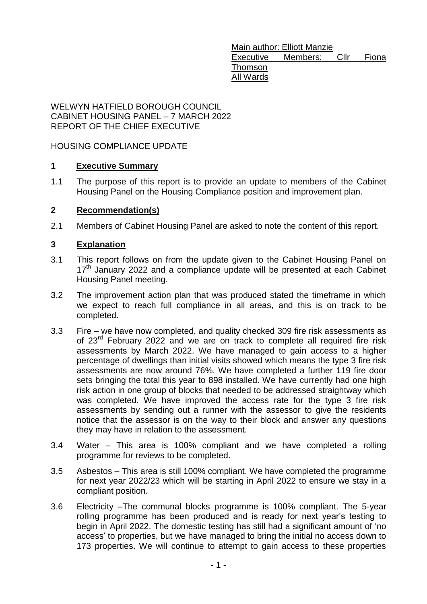Main author: Elliott Manzie Executive Members: Cllr Fiona Thomson All Wards

WELWYN HATFIELD BOROUGH COUNCIL CABINET HOUSING PANEL – 7 MARCH 2022 REPORT OF THE CHIEF EXECUTIVE

## HOUSING COMPLIANCE UPDATE

## **1 [Executive Summary](#page-0-0)**

<span id="page-0-0"></span>1.1 The purpose of this report is to provide an update to members of the Cabinet Housing Panel on the Housing Compliance position and improvement plan.

## <span id="page-0-1"></span>**2 [Recommendation\(s\)](#page-0-1)**

2.1 Members of Cabinet Housing Panel are asked to note the content of this report.

## **3 Explanation**

- <span id="page-0-2"></span>3.1 This report follows on from the update given to the Cabinet Housing Panel on  $17<sup>th</sup>$  January 2022 and a compliance update will be presented at each Cabinet Housing Panel meeting.
- 3.2 The improvement action plan that was produced stated the timeframe in which we expect to reach full compliance in all areas, and this is on track to be completed.
- 3.3 Fire we have now completed, and quality checked 309 fire risk assessments as of 23<sup>rd</sup> February 2022 and we are on track to complete all required fire risk assessments by March 2022. We have managed to gain access to a higher percentage of dwellings than initial visits showed which means the type 3 fire risk assessments are now around 76%. We have completed a further 119 fire door sets bringing the total this year to 898 installed. We have currently had one high risk action in one group of blocks that needed to be addressed straightway which was completed. We have improved the access rate for the type 3 fire risk assessments by sending out a runner with the assessor to give the residents notice that the assessor is on the way to their block and answer any questions they may have in relation to the assessment.
- 3.4 Water This area is 100% compliant and we have completed a rolling programme for reviews to be completed.
- 3.5 Asbestos This area is still 100% compliant. We have completed the programme for next year 2022/23 which will be starting in April 2022 to ensure we stay in a compliant position.
- 3.6 Electricity –The communal blocks programme is 100% compliant. The 5-year rolling programme has been produced and is ready for next year's testing to begin in April 2022. The domestic testing has still had a significant amount of 'no access' to properties, but we have managed to bring the initial no access down to 173 properties. We will continue to attempt to gain access to these properties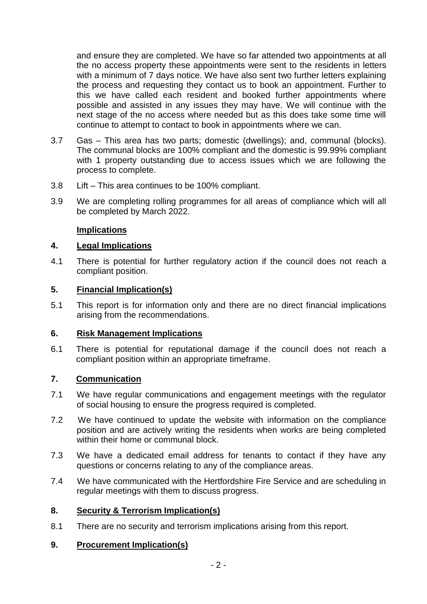and ensure they are completed. We have so far attended two appointments at all the no access property these appointments were sent to the residents in letters with a minimum of 7 days notice. We have also sent two further letters explaining the process and requesting they contact us to book an appointment. Further to this we have called each resident and booked further appointments where possible and assisted in any issues they may have. We will continue with the next stage of the no access where needed but as this does take some time will continue to attempt to contact to book in appointments where we can.

- 3.7 Gas This area has two parts; domestic (dwellings); and, communal (blocks). The communal blocks are 100% compliant and the domestic is 99.99% compliant with 1 property outstanding due to access issues which we are following the process to complete.
- 3.8 Lift This area continues to be 100% compliant.
- 3.9 We are completing rolling programmes for all areas of compliance which will all be completed by March 2022.

## **Implications**

## **4. Legal Implications**

4.1 There is potential for further regulatory action if the council does not reach a compliant position.

## **5. Financial Implication(s)**

5.1 This report is for information only and there are no direct financial implications arising from the recommendations.

#### **6. Risk Management Implications**

6.1 There is potential for reputational damage if the council does not reach a compliant position within an appropriate timeframe.

## **7. Communication**

- 7.1 We have regular communications and engagement meetings with the regulator of social housing to ensure the progress required is completed.
- 7.2 We have continued to update the website with information on the compliance position and are actively writing the residents when works are being completed within their home or communal block.
- 7.3 We have a dedicated email address for tenants to contact if they have any questions or concerns relating to any of the compliance areas.
- 7.4 We have communicated with the Hertfordshire Fire Service and are scheduling in regular meetings with them to discuss progress.

## **8. [Security & Terrorism Implication\(s\)](#page-0-2)**

8.1 There are no security and terrorism implications arising from this report.

## **9. [Procurement Implication\(s\)](#page-0-2)**